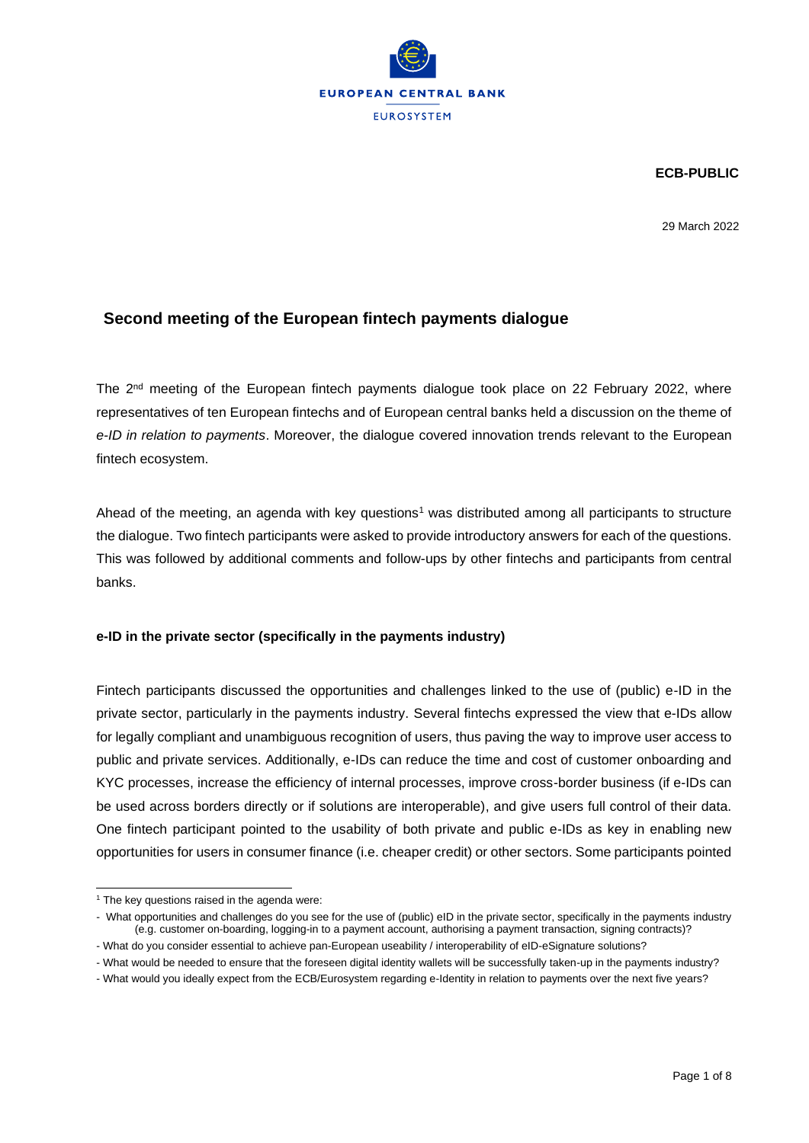

**ECB-PUBLIC**

29 March 2022

## **Second meeting of the European fintech payments dialogue**

The 2<sup>nd</sup> meeting of the European fintech payments dialogue took place on 22 February 2022, where representatives of ten European fintechs and of European central banks held a discussion on the theme of *e-ID in relation to payments*. Moreover, the dialogue covered innovation trends relevant to the European fintech ecosystem.

Ahead of the meeting, an agenda with key questions<sup>1</sup> was distributed among all participants to structure the dialogue. Two fintech participants were asked to provide introductory answers for each of the questions. This was followed by additional comments and follow-ups by other fintechs and participants from central banks.

## **e-ID in the private sector (specifically in the payments industry)**

Fintech participants discussed the opportunities and challenges linked to the use of (public) e-ID in the private sector, particularly in the payments industry. Several fintechs expressed the view that e-IDs allow for legally compliant and unambiguous recognition of users, thus paving the way to improve user access to public and private services. Additionally, e-IDs can reduce the time and cost of customer onboarding and KYC processes, increase the efficiency of internal processes, improve cross-border business (if e-IDs can be used across borders directly or if solutions are interoperable), and give users full control of their data. One fintech participant pointed to the usability of both private and public e-IDs as key in enabling new opportunities for users in consumer finance (i.e. cheaper credit) or other sectors. Some participants pointed

 $1$  The key questions raised in the agenda were:

<sup>-</sup> What opportunities and challenges do you see for the use of (public) eID in the private sector, specifically in the payments industry (e.g. customer on-boarding, logging-in to a payment account, authorising a payment transaction, signing contracts)?

<sup>-</sup> What do you consider essential to achieve pan-European useability / interoperability of eID-eSignature solutions?

<sup>-</sup> What would be needed to ensure that the foreseen digital identity wallets will be successfully taken-up in the payments industry?

<sup>-</sup> What would you ideally expect from the ECB/Eurosystem regarding e-Identity in relation to payments over the next five years?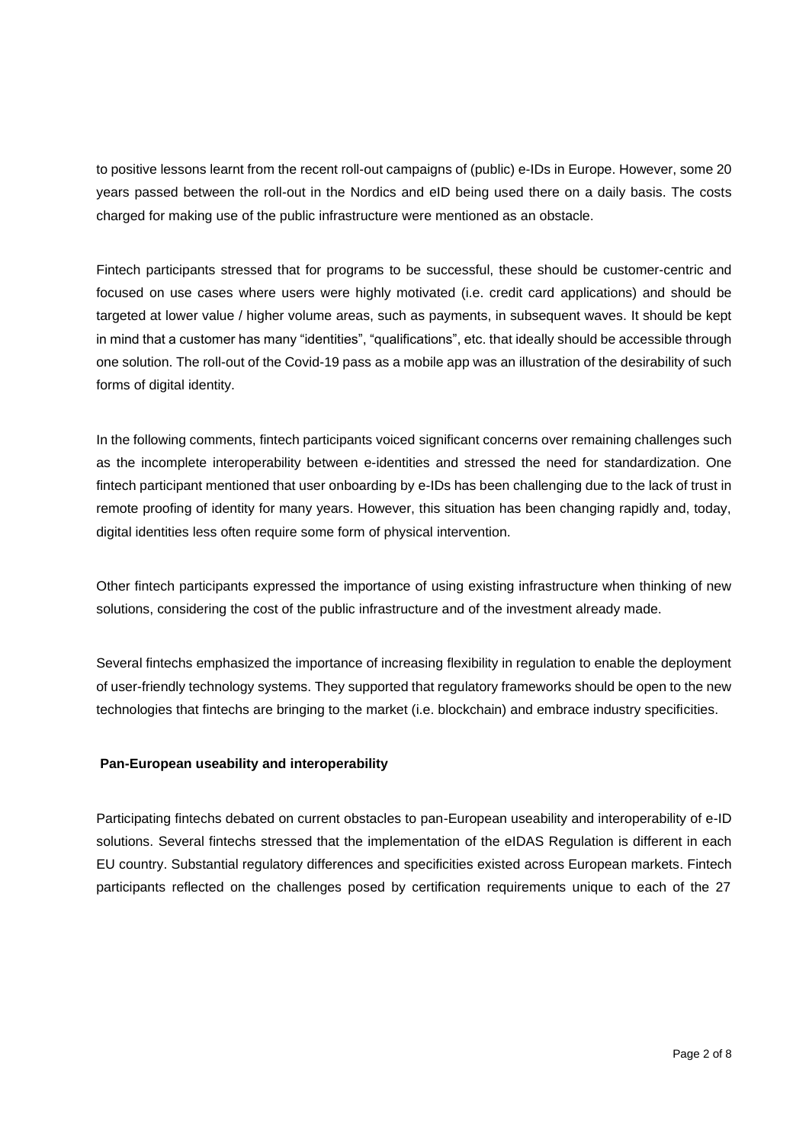to positive lessons learnt from the recent roll-out campaigns of (public) e-IDs in Europe. However, some 20 years passed between the roll-out in the Nordics and eID being used there on a daily basis. The costs charged for making use of the public infrastructure were mentioned as an obstacle.

Fintech participants stressed that for programs to be successful, these should be customer-centric and focused on use cases where users were highly motivated (i.e. credit card applications) and should be targeted at lower value / higher volume areas, such as payments, in subsequent waves. It should be kept in mind that a customer has many "identities", "qualifications", etc. that ideally should be accessible through one solution. The roll-out of the Covid-19 pass as a mobile app was an illustration of the desirability of such forms of digital identity.

In the following comments, fintech participants voiced significant concerns over remaining challenges such as the incomplete interoperability between e-identities and stressed the need for standardization. One fintech participant mentioned that user onboarding by e-IDs has been challenging due to the lack of trust in remote proofing of identity for many years. However, this situation has been changing rapidly and, today, digital identities less often require some form of physical intervention.

Other fintech participants expressed the importance of using existing infrastructure when thinking of new solutions, considering the cost of the public infrastructure and of the investment already made.

Several fintechs emphasized the importance of increasing flexibility in regulation to enable the deployment of user-friendly technology systems. They supported that regulatory frameworks should be open to the new technologies that fintechs are bringing to the market (i.e. blockchain) and embrace industry specificities.

## **Pan-European useability and interoperability**

Participating fintechs debated on current obstacles to pan-European useability and interoperability of e-ID solutions. Several fintechs stressed that the implementation of the eIDAS Regulation is different in each EU country. Substantial regulatory differences and specificities existed across European markets. Fintech participants reflected on the challenges posed by certification requirements unique to each of the 27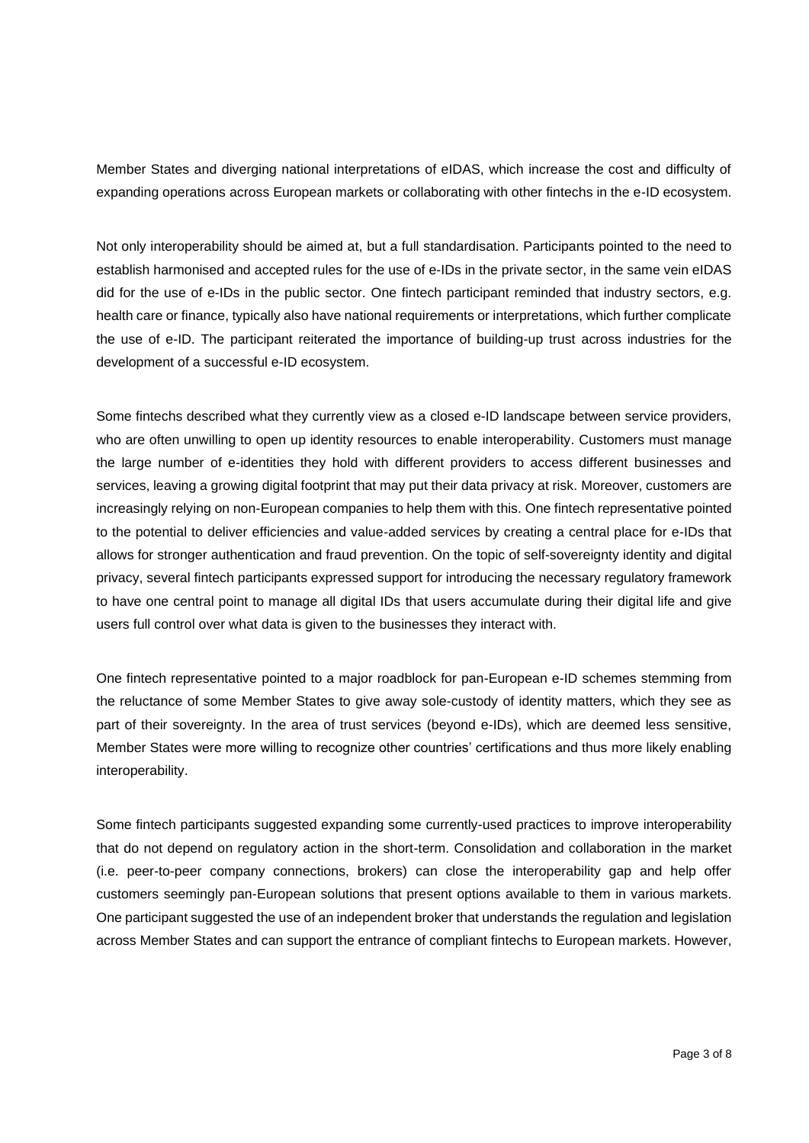Member States and diverging national interpretations of eIDAS, which increase the cost and difficulty of expanding operations across European markets or collaborating with other fintechs in the e-ID ecosystem.

Not only interoperability should be aimed at, but a full standardisation. Participants pointed to the need to establish harmonised and accepted rules for the use of e-IDs in the private sector, in the same vein eIDAS did for the use of e-IDs in the public sector. One fintech participant reminded that industry sectors, e.g. health care or finance, typically also have national requirements or interpretations, which further complicate the use of e-ID. The participant reiterated the importance of building-up trust across industries for the development of a successful e-ID ecosystem.

Some fintechs described what they currently view as a closed e-ID landscape between service providers, who are often unwilling to open up identity resources to enable interoperability. Customers must manage the large number of e-identities they hold with different providers to access different businesses and services, leaving a growing digital footprint that may put their data privacy at risk. Moreover, customers are increasingly relying on non-European companies to help them with this. One fintech representative pointed to the potential to deliver efficiencies and value-added services by creating a central place for e-IDs that allows for stronger authentication and fraud prevention. On the topic of self-sovereignty identity and digital privacy, several fintech participants expressed support for introducing the necessary regulatory framework to have one central point to manage all digital IDs that users accumulate during their digital life and give users full control over what data is given to the businesses they interact with.

One fintech representative pointed to a major roadblock for pan-European e-ID schemes stemming from the reluctance of some Member States to give away sole-custody of identity matters, which they see as part of their sovereignty. In the area of trust services (beyond e-IDs), which are deemed less sensitive, Member States were more willing to recognize other countries' certifications and thus more likely enabling interoperability.

Some fintech participants suggested expanding some currently-used practices to improve interoperability that do not depend on regulatory action in the short-term. Consolidation and collaboration in the market (i.e. peer-to-peer company connections, brokers) can close the interoperability gap and help offer customers seemingly pan-European solutions that present options available to them in various markets. One participant suggested the use of an independent broker that understands the regulation and legislation across Member States and can support the entrance of compliant fintechs to European markets. However,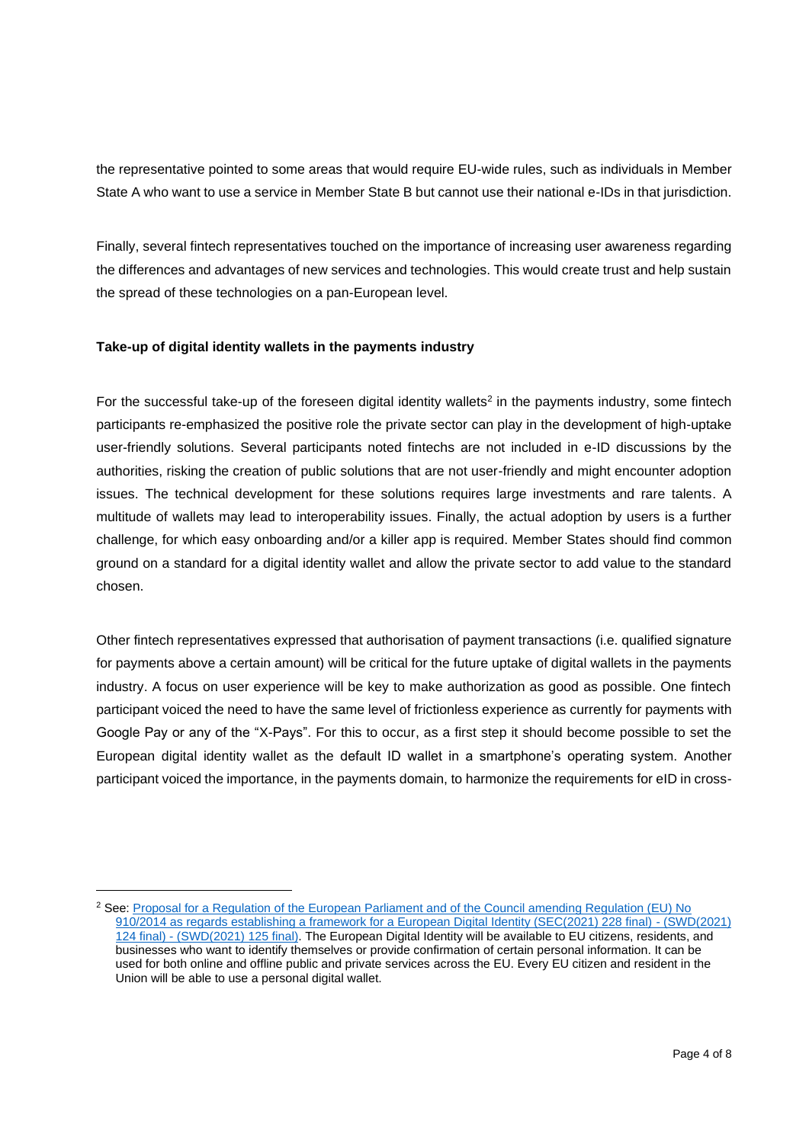the representative pointed to some areas that would require EU-wide rules, such as individuals in Member State A who want to use a service in Member State B but cannot use their national e-IDs in that jurisdiction.

Finally, several fintech representatives touched on the importance of increasing user awareness regarding the differences and advantages of new services and technologies. This would create trust and help sustain the spread of these technologies on a pan-European level.

### **Take-up of digital identity wallets in the payments industry**

For the successful take-up of the foreseen digital identity wallets<sup>2</sup> in the payments industry, some fintech participants re-emphasized the positive role the private sector can play in the development of high-uptake user-friendly solutions. Several participants noted fintechs are not included in e-ID discussions by the authorities, risking the creation of public solutions that are not user-friendly and might encounter adoption issues. The technical development for these solutions requires large investments and rare talents. A multitude of wallets may lead to interoperability issues. Finally, the actual adoption by users is a further challenge, for which easy onboarding and/or a killer app is required. Member States should find common ground on a standard for a digital identity wallet and allow the private sector to add value to the standard chosen.

Other fintech representatives expressed that authorisation of payment transactions (i.e. qualified signature for payments above a certain amount) will be critical for the future uptake of digital wallets in the payments industry. A focus on user experience will be key to make authorization as good as possible. One fintech participant voiced the need to have the same level of frictionless experience as currently for payments with Google Pay or any of the "X-Pays". For this to occur, as a first step it should become possible to set the European digital identity wallet as the default ID wallet in a smartphone's operating system. Another participant voiced the importance, in the payments domain, to harmonize the requirements for eID in cross-

<sup>&</sup>lt;sup>2</sup> See: Proposal for a Regulation of the European Parliament and of the Council amending Regulation (EU) No [910/2014 as regards establishing a framework for a European Digital Identity \(SEC\(2021\) 228 final\) -](https://digital-strategy.ec.europa.eu/en/library/trusted-and-secure-european-e-id-regulation) (SWD(2021) 124 final) - [\(SWD\(2021\) 125 final\).](https://digital-strategy.ec.europa.eu/en/library/trusted-and-secure-european-e-id-regulation) The European Digital Identity will be available to EU citizens, residents, and businesses who want to identify themselves or provide confirmation of certain personal information. It can be used for both online and offline public and private services across the EU. Every EU citizen and resident in the Union will be able to use a personal digital wallet.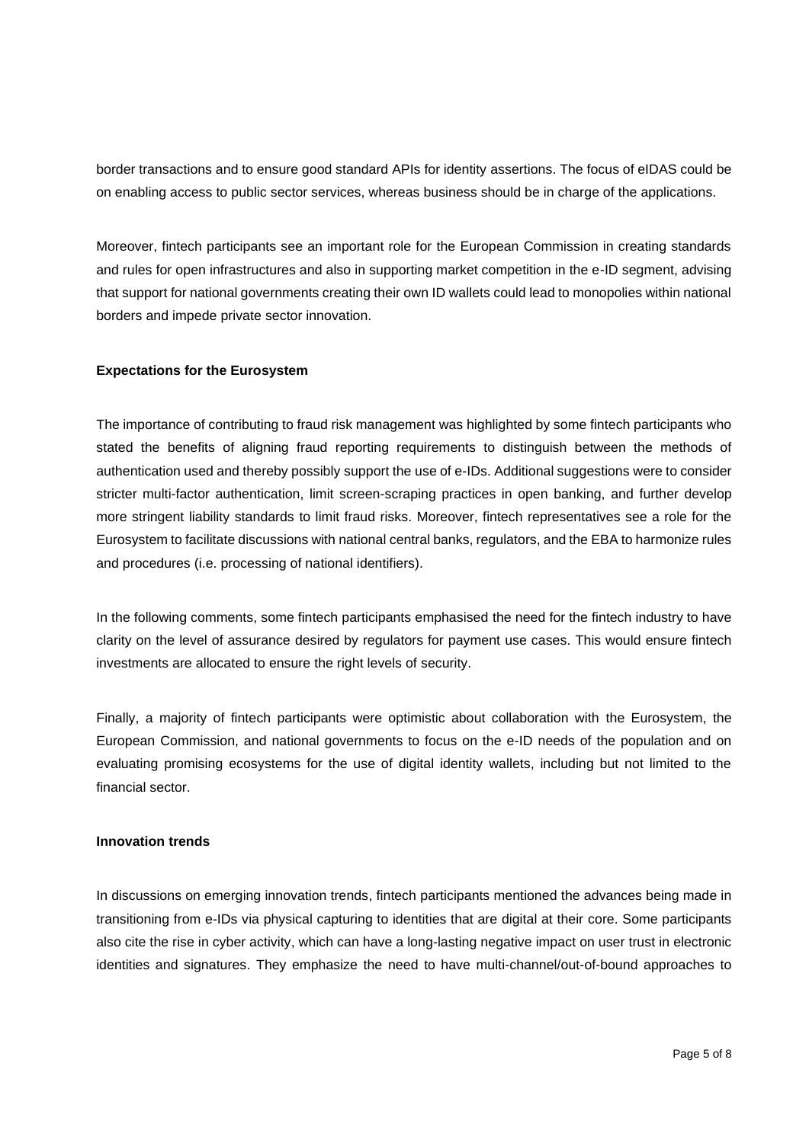border transactions and to ensure good standard APIs for identity assertions. The focus of eIDAS could be on enabling access to public sector services, whereas business should be in charge of the applications.

Moreover, fintech participants see an important role for the European Commission in creating standards and rules for open infrastructures and also in supporting market competition in the e-ID segment, advising that support for national governments creating their own ID wallets could lead to monopolies within national borders and impede private sector innovation.

### **Expectations for the Eurosystem**

The importance of contributing to fraud risk management was highlighted by some fintech participants who stated the benefits of aligning fraud reporting requirements to distinguish between the methods of authentication used and thereby possibly support the use of e-IDs. Additional suggestions were to consider stricter multi-factor authentication, limit screen-scraping practices in open banking, and further develop more stringent liability standards to limit fraud risks. Moreover, fintech representatives see a role for the Eurosystem to facilitate discussions with national central banks, regulators, and the EBA to harmonize rules and procedures (i.e. processing of national identifiers).

In the following comments, some fintech participants emphasised the need for the fintech industry to have clarity on the level of assurance desired by regulators for payment use cases. This would ensure fintech investments are allocated to ensure the right levels of security.

Finally, a majority of fintech participants were optimistic about collaboration with the Eurosystem, the European Commission, and national governments to focus on the e-ID needs of the population and on evaluating promising ecosystems for the use of digital identity wallets, including but not limited to the financial sector.

#### **Innovation trends**

In discussions on emerging innovation trends, fintech participants mentioned the advances being made in transitioning from e-IDs via physical capturing to identities that are digital at their core. Some participants also cite the rise in cyber activity, which can have a long-lasting negative impact on user trust in electronic identities and signatures. They emphasize the need to have multi-channel/out-of-bound approaches to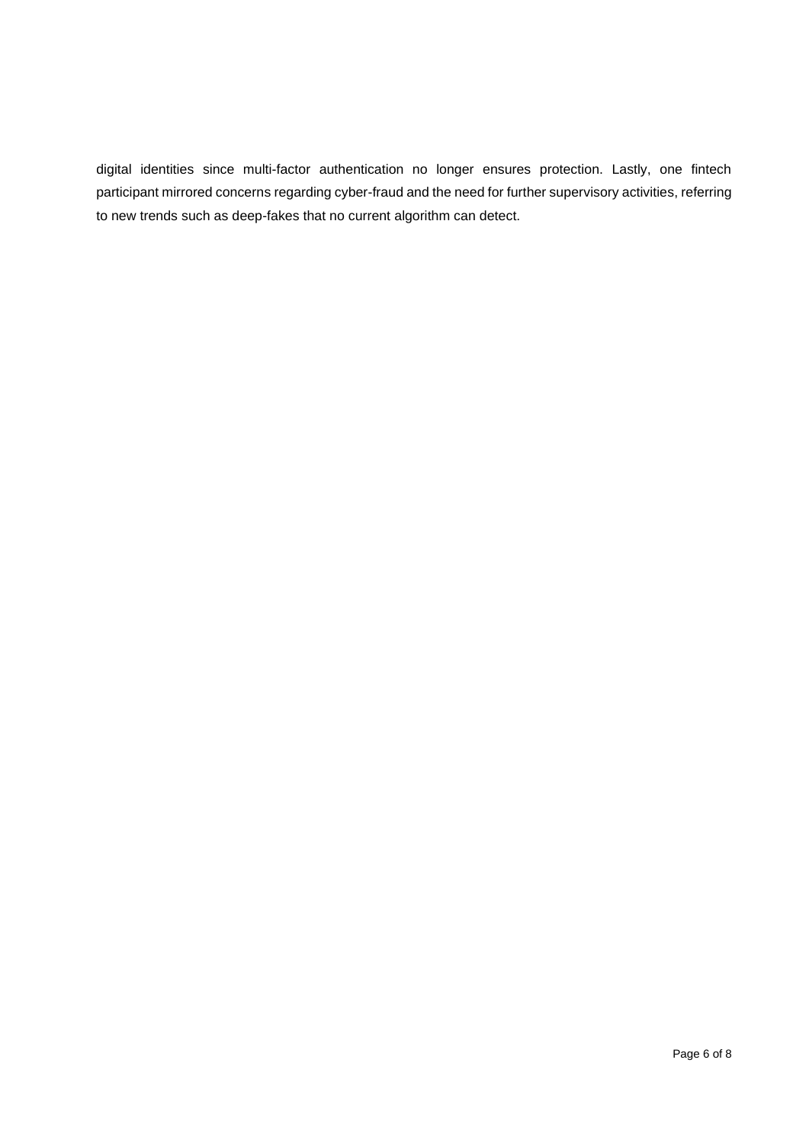digital identities since multi-factor authentication no longer ensures protection. Lastly, one fintech participant mirrored concerns regarding cyber-fraud and the need for further supervisory activities, referring to new trends such as deep-fakes that no current algorithm can detect.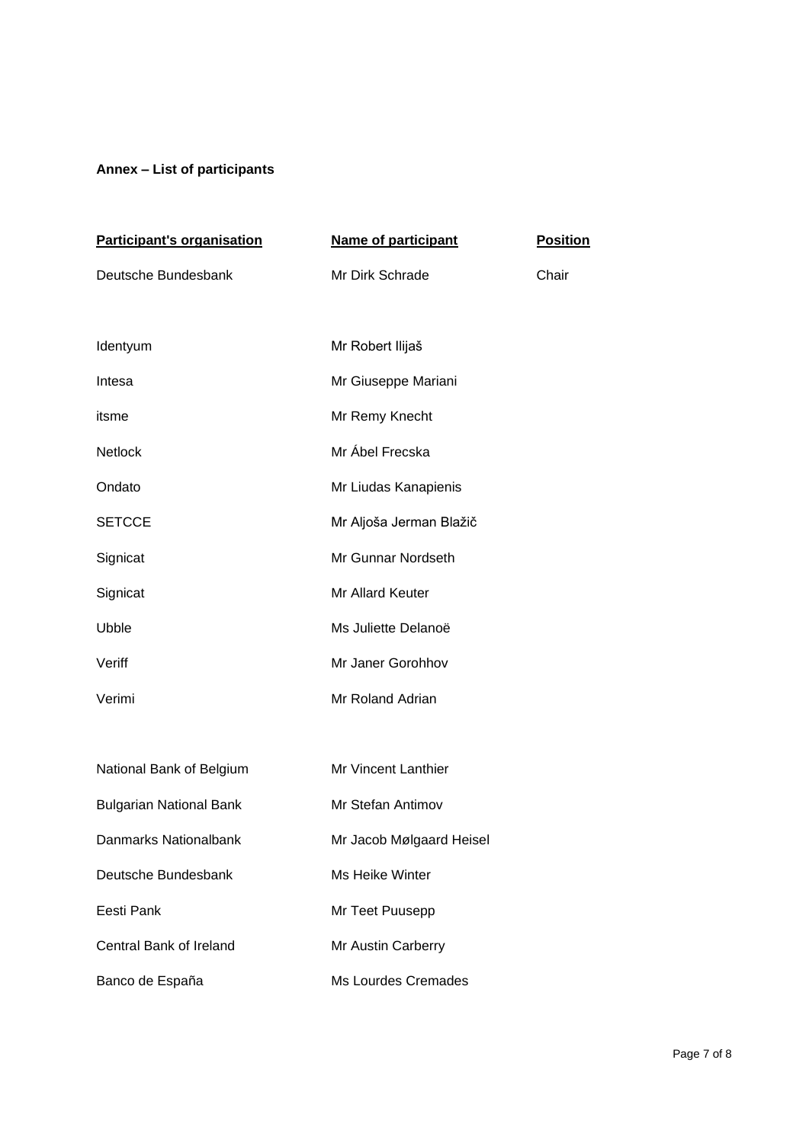# **Annex – List of participants**

| <b>Participant's organisation</b> | <b>Name of participant</b> | <b>Position</b> |
|-----------------------------------|----------------------------|-----------------|
| Deutsche Bundesbank               | Mr Dirk Schrade            | Chair           |
|                                   |                            |                 |
| Identyum                          | Mr Robert Ilijaš           |                 |
| Intesa                            | Mr Giuseppe Mariani        |                 |
| itsme                             | Mr Remy Knecht             |                 |
| Netlock                           | Mr Ábel Frecska            |                 |
| Ondato                            | Mr Liudas Kanapienis       |                 |
| <b>SETCCE</b>                     | Mr Aljoša Jerman Blažič    |                 |
| Signicat                          | Mr Gunnar Nordseth         |                 |
| Signicat                          | Mr Allard Keuter           |                 |
| Ubble                             | Ms Juliette Delanoë        |                 |
| Veriff                            | Mr Janer Gorohhov          |                 |
| Verimi                            | Mr Roland Adrian           |                 |
|                                   |                            |                 |
| National Bank of Belgium          | Mr Vincent Lanthier        |                 |
| <b>Bulgarian National Bank</b>    | Mr Stefan Antimov          |                 |
| Danmarks Nationalbank             | Mr Jacob Mølgaard Heisel   |                 |
| Deutsche Bundesbank               | Ms Heike Winter            |                 |
| Eesti Pank                        | Mr Teet Puusepp            |                 |
| Central Bank of Ireland           | Mr Austin Carberry         |                 |
| Banco de España                   | <b>Ms Lourdes Cremades</b> |                 |